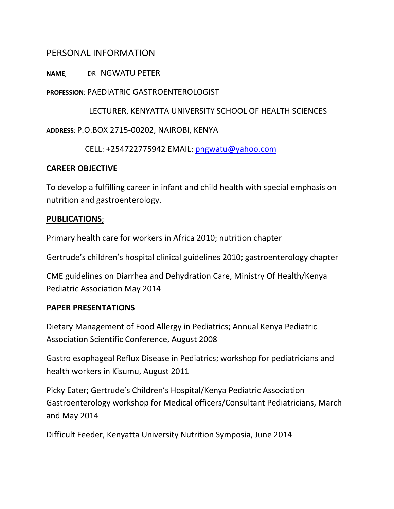## PERSONAL INFORMATION

### **NAME**; DR NGWATU PETER

### **PROFESSION**: PAEDIATRIC GASTROENTEROLOGIST

 LECTURER, KENYATTA UNIVERSITY SCHOOL OF HEALTH SCIENCES **ADDRESS**: P.O.BOX 2715-00202, NAIROBI, KENYA

CELL: +254722775942 EMAIL: [pngwatu@yahoo.com](mailto:pngwatu@yahoo.com)

### **CAREER OBJECTIVE**

To develop a fulfilling career in infant and child health with special emphasis on nutrition and gastroenterology.

### **PUBLICATIONS**;

Primary health care for workers in Africa 2010; nutrition chapter

Gertrude's children's hospital clinical guidelines 2010; gastroenterology chapter

CME guidelines on Diarrhea and Dehydration Care, Ministry Of Health/Kenya Pediatric Association May 2014

### **PAPER PRESENTATIONS**

Dietary Management of Food Allergy in Pediatrics; Annual Kenya Pediatric Association Scientific Conference, August 2008

Gastro esophageal Reflux Disease in Pediatrics; workshop for pediatricians and health workers in Kisumu, August 2011

Picky Eater; Gertrude's Children's Hospital/Kenya Pediatric Association Gastroenterology workshop for Medical officers/Consultant Pediatricians, March and May 2014

Difficult Feeder, Kenyatta University Nutrition Symposia, June 2014